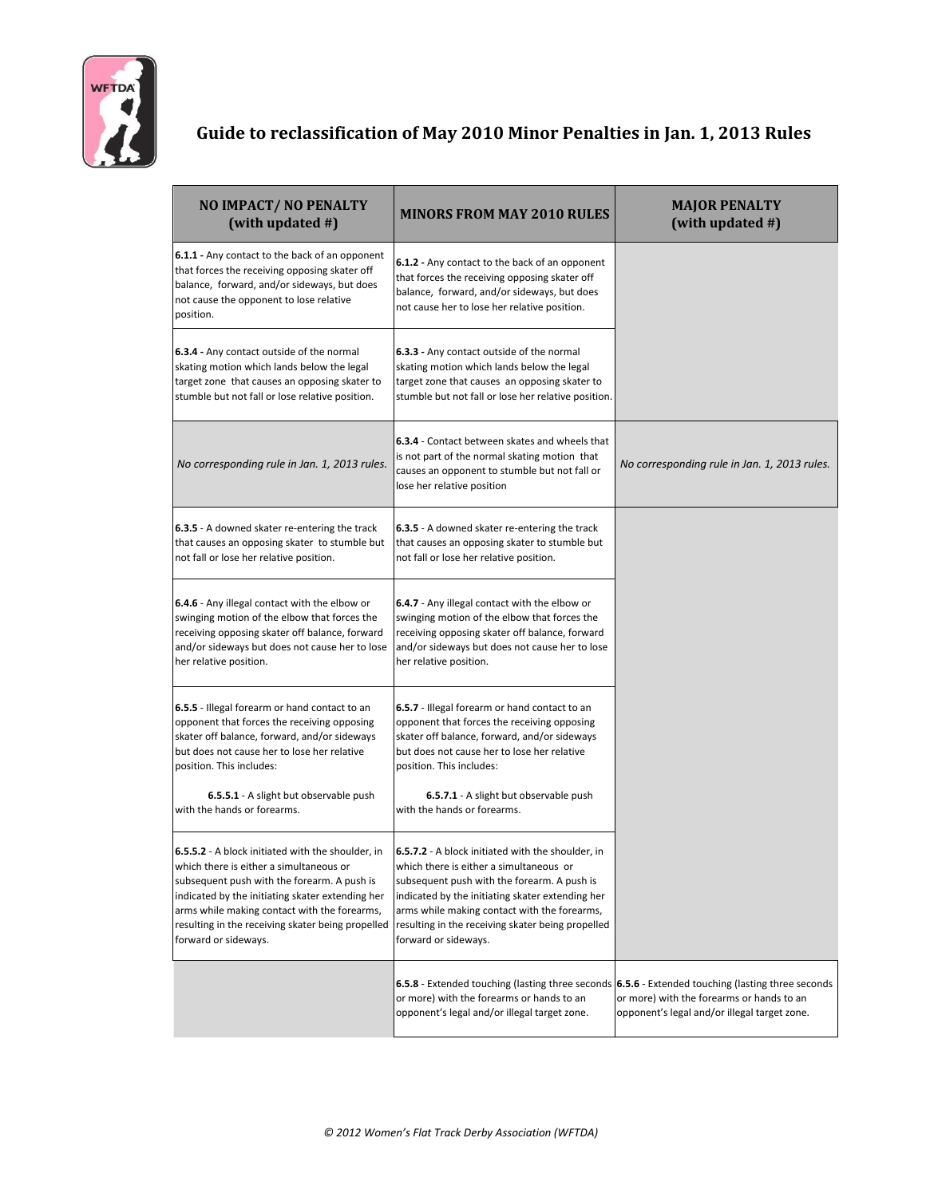

## **Guide to reclassification of May 2010 Minor Penalties in Jan. 1, 2013 Rules**

| NO IMPACT/NO PENALTY<br>(with updated #)                                                                                                                                                                                                                                                                                     | <b>MINORS FROM MAY 2010 RULES</b>                                                                                                                                                                                                                                                                                                   | <b>MAJOR PENALTY</b><br>(with updated #)                                                                                                      |
|------------------------------------------------------------------------------------------------------------------------------------------------------------------------------------------------------------------------------------------------------------------------------------------------------------------------------|-------------------------------------------------------------------------------------------------------------------------------------------------------------------------------------------------------------------------------------------------------------------------------------------------------------------------------------|-----------------------------------------------------------------------------------------------------------------------------------------------|
| 6.1.1 - Any contact to the back of an opponent<br>that forces the receiving opposing skater off<br>balance, forward, and/or sideways, but does<br>not cause the opponent to lose relative<br>position.                                                                                                                       | 6.1.2 - Any contact to the back of an opponent<br>that forces the receiving opposing skater off<br>balance, forward, and/or sideways, but does<br>not cause her to lose her relative position.                                                                                                                                      |                                                                                                                                               |
| 6.3.4 - Any contact outside of the normal<br>skating motion which lands below the legal<br>target zone that causes an opposing skater to<br>stumble but not fall or lose relative position.                                                                                                                                  | 6.3.3 - Any contact outside of the normal<br>skating motion which lands below the legal<br>target zone that causes an opposing skater to<br>stumble but not fall or lose her relative position.                                                                                                                                     |                                                                                                                                               |
| No corresponding rule in Jan. 1, 2013 rules.                                                                                                                                                                                                                                                                                 | 6.3.4 - Contact between skates and wheels that<br>is not part of the normal skating motion that<br>causes an opponent to stumble but not fall or<br>lose her relative position                                                                                                                                                      | No corresponding rule in Jan. 1, 2013 rules.                                                                                                  |
| 6.3.5 - A downed skater re-entering the track<br>that causes an opposing skater to stumble but<br>not fall or lose her relative position.                                                                                                                                                                                    | 6.3.5 - A downed skater re-entering the track<br>that causes an opposing skater to stumble but<br>not fall or lose her relative position.                                                                                                                                                                                           |                                                                                                                                               |
| 6.4.6 - Any illegal contact with the elbow or<br>swinging motion of the elbow that forces the<br>receiving opposing skater off balance, forward<br>and/or sideways but does not cause her to lose<br>her relative position.                                                                                                  | 6.4.7 - Any illegal contact with the elbow or<br>swinging motion of the elbow that forces the<br>receiving opposing skater off balance, forward<br>and/or sideways but does not cause her to lose<br>her relative position.                                                                                                         |                                                                                                                                               |
| 6.5.5 - Illegal forearm or hand contact to an<br>opponent that forces the receiving opposing<br>skater off balance, forward, and/or sideways<br>but does not cause her to lose her relative<br>position. This includes:                                                                                                      | 6.5.7 - Illegal forearm or hand contact to an<br>opponent that forces the receiving opposing<br>skater off balance, forward, and/or sideways<br>but does not cause her to lose her relative<br>position. This includes:                                                                                                             |                                                                                                                                               |
| 6.5.5.1 - A slight but observable push<br>with the hands or forearms.                                                                                                                                                                                                                                                        | 6.5.7.1 - A slight but observable push<br>with the hands or forearms.                                                                                                                                                                                                                                                               |                                                                                                                                               |
| 6.5.5.2 - A block initiated with the shoulder, in<br>which there is either a simultaneous or<br>subsequent push with the forearm. A push is<br>indicated by the initiating skater extending her<br>arms while making contact with the forearms,<br>resulting in the receiving skater being propelled<br>forward or sideways. | <b>6.5.7.2</b> - A block initiated with the shoulder, in<br>which there is either a simultaneous or<br>subsequent push with the forearm. A push is<br>indicated by the initiating skater extending her<br>arms while making contact with the forearms,<br>resulting in the receiving skater being propelled<br>forward or sideways. |                                                                                                                                               |
|                                                                                                                                                                                                                                                                                                                              | 6.5.8 - Extended touching (lasting three seconds<br>or more) with the forearms or hands to an<br>opponent's legal and/or illegal target zone.                                                                                                                                                                                       | 6.5.6 - Extended touching (lasting three seconds<br>or more) with the forearms or hands to an<br>opponent's legal and/or illegal target zone. |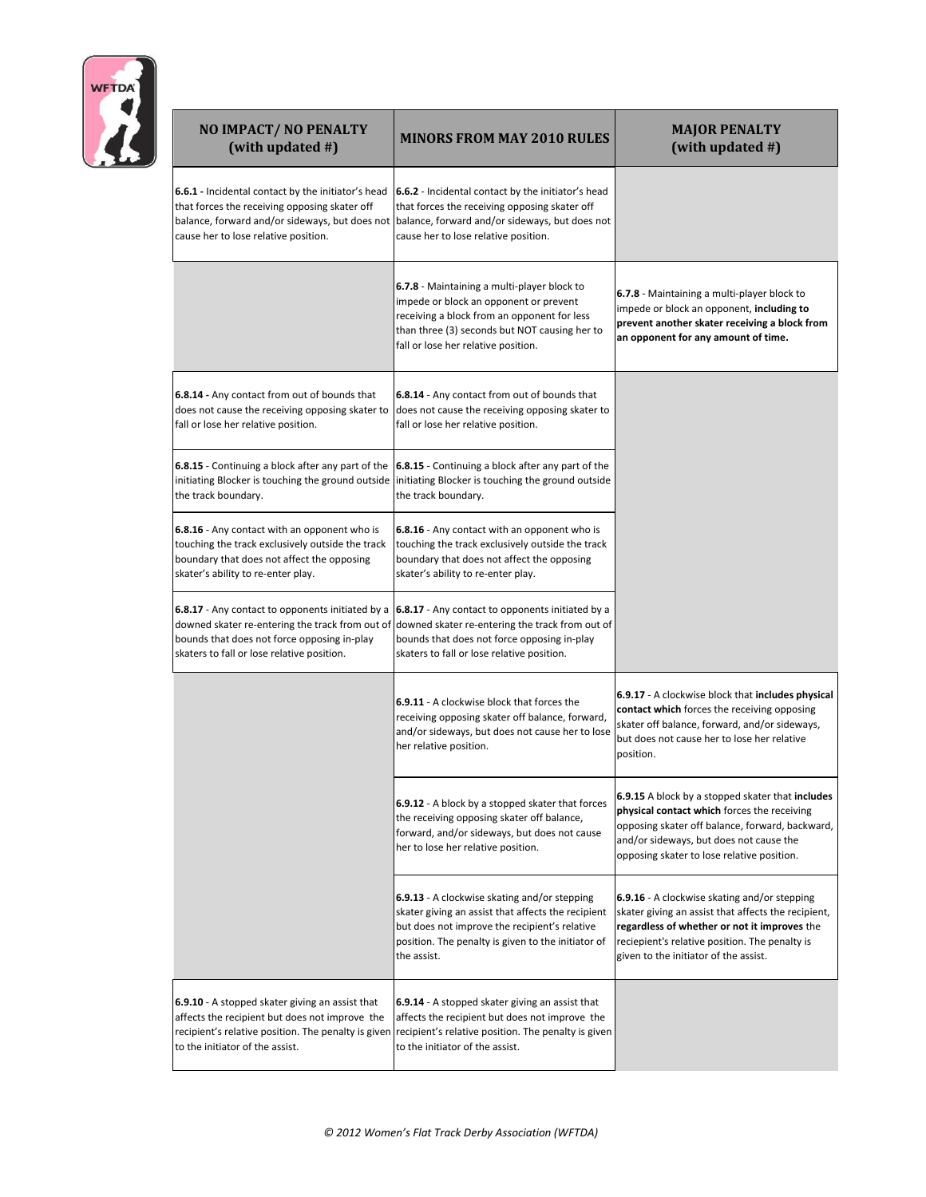

| NO IMPACT/NO PENALTY<br>(with updated #)                                                                                                                                                                               | <b>MINORS FROM MAY 2010 RULES</b>                                                                                                                                                                                                               | <b>MAJOR PENALTY</b><br>(with updated #)                                                                                                                                                                                                       |
|------------------------------------------------------------------------------------------------------------------------------------------------------------------------------------------------------------------------|-------------------------------------------------------------------------------------------------------------------------------------------------------------------------------------------------------------------------------------------------|------------------------------------------------------------------------------------------------------------------------------------------------------------------------------------------------------------------------------------------------|
| 6.6.1 - Incidental contact by the initiator's head<br>that forces the receiving opposing skater off<br>cause her to lose relative position.                                                                            | 6.6.2 - Incidental contact by the initiator's head<br>that forces the receiving opposing skater off<br>balance, forward and/or sideways, but does not balance, forward and/or sideways, but does not<br>cause her to lose relative position.    |                                                                                                                                                                                                                                                |
|                                                                                                                                                                                                                        | 6.7.8 - Maintaining a multi-player block to<br>impede or block an opponent or prevent<br>receiving a block from an opponent for less<br>than three (3) seconds but NOT causing her to<br>fall or lose her relative position.                    | 6.7.8 - Maintaining a multi-player block to<br>impede or block an opponent, including to<br>prevent another skater receiving a block from<br>an opponent for any amount of time.                                                               |
| 6.8.14 - Any contact from out of bounds that<br>does not cause the receiving opposing skater to<br>fall or lose her relative position.                                                                                 | 6.8.14 - Any contact from out of bounds that<br>does not cause the receiving opposing skater to<br>fall or lose her relative position.                                                                                                          |                                                                                                                                                                                                                                                |
| 6.8.15 - Continuing a block after any part of the<br>initiating Blocker is touching the ground outside<br>the track boundary.                                                                                          | 6.8.15 - Continuing a block after any part of the<br>initiating Blocker is touching the ground outside<br>the track boundary.                                                                                                                   |                                                                                                                                                                                                                                                |
| 6.8.16 - Any contact with an opponent who is<br>touching the track exclusively outside the track<br>boundary that does not affect the opposing<br>skater's ability to re-enter play.                                   | 6.8.16 - Any contact with an opponent who is<br>touching the track exclusively outside the track<br>boundary that does not affect the opposing<br>skater's ability to re-enter play.                                                            |                                                                                                                                                                                                                                                |
| <b>6.8.17</b> - Any contact to opponents initiated by a $\left  6.8.17 \right $ - Any contact to opponents initiated by a<br>bounds that does not force opposing in-play<br>skaters to fall or lose relative position. | downed skater re-entering the track from out of downed skater re-entering the track from out of<br>bounds that does not force opposing in-play<br>skaters to fall or lose relative position.                                                    |                                                                                                                                                                                                                                                |
|                                                                                                                                                                                                                        | <b>6.9.11</b> - A clockwise block that forces the<br>receiving opposing skater off balance, forward,<br>and/or sideways, but does not cause her to lose<br>her relative position.                                                               | 6.9.17 - A clockwise block that includes physical<br>contact which forces the receiving opposing<br>skater off balance, forward, and/or sideways,<br>but does not cause her to lose her relative<br>position.                                  |
|                                                                                                                                                                                                                        | 6.9.12 - A block by a stopped skater that forces<br>the receiving opposing skater off balance,<br>forward, and/or sideways, but does not cause<br>her to lose her relative position.                                                            | 6.9.15 A block by a stopped skater that includes<br>physical contact which forces the receiving<br>opposing skater off balance, forward, backward,<br>and/or sideways, but does not cause the<br>opposing skater to lose relative position.    |
|                                                                                                                                                                                                                        | 6.9.13 - A clockwise skating and/or stepping<br>skater giving an assist that affects the recipient<br>but does not improve the recipient's relative<br>position. The penalty is given to the initiator of<br>the assist.                        | 6.9.16 - A clockwise skating and/or stepping<br>skater giving an assist that affects the recipient,<br>regardless of whether or not it improves the<br>reciepient's relative position. The penalty is<br>given to the initiator of the assist. |
| 6.9.10 - A stopped skater giving an assist that<br>affects the recipient but does not improve the<br>to the initiator of the assist.                                                                                   | 6.9.14 - A stopped skater giving an assist that<br>affects the recipient but does not improve the<br>recipient's relative position. The penalty is given recipient's relative position. The penalty is given<br>to the initiator of the assist. |                                                                                                                                                                                                                                                |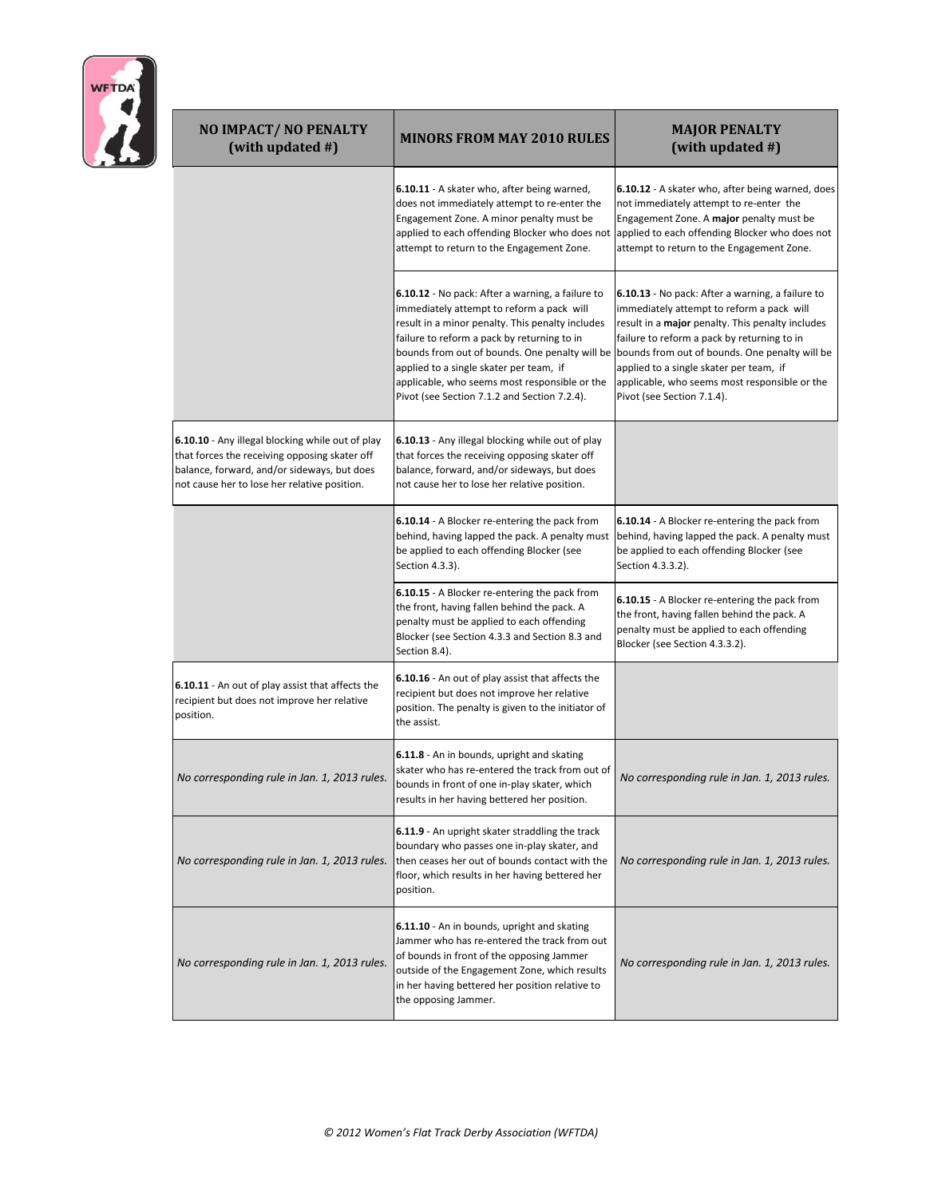| <b>WFTDA</b> |
|--------------|
|              |
|              |
|              |
|              |

| NO IMPACT/NO PENALTY<br>(with updated #)                                                                                                                                                         | <b>MINORS FROM MAY 2010 RULES</b>                                                                                                                                                                                                                                                                                                                                                              | <b>MAJOR PENALTY</b><br>(with updated #)                                                                                                                                                                                                                                                                                                                                            |
|--------------------------------------------------------------------------------------------------------------------------------------------------------------------------------------------------|------------------------------------------------------------------------------------------------------------------------------------------------------------------------------------------------------------------------------------------------------------------------------------------------------------------------------------------------------------------------------------------------|-------------------------------------------------------------------------------------------------------------------------------------------------------------------------------------------------------------------------------------------------------------------------------------------------------------------------------------------------------------------------------------|
|                                                                                                                                                                                                  | 6.10.11 - A skater who, after being warned,<br>does not immediately attempt to re-enter the<br>Engagement Zone. A minor penalty must be<br>applied to each offending Blocker who does not<br>attempt to return to the Engagement Zone.                                                                                                                                                         | 6.10.12 - A skater who, after being warned, does<br>not immediately attempt to re-enter the<br>Engagement Zone. A major penalty must be<br>applied to each offending Blocker who does not<br>attempt to return to the Engagement Zone.                                                                                                                                              |
|                                                                                                                                                                                                  | 6.10.12 - No pack: After a warning, a failure to<br>immediately attempt to reform a pack will<br>result in a minor penalty. This penalty includes<br>failure to reform a pack by returning to in<br>bounds from out of bounds. One penalty will be<br>applied to a single skater per team, if<br>applicable, who seems most responsible or the<br>Pivot (see Section 7.1.2 and Section 7.2.4). | 6.10.13 - No pack: After a warning, a failure to<br>immediately attempt to reform a pack will<br>result in a <b>major</b> penalty. This penalty includes<br>failure to reform a pack by returning to in<br>bounds from out of bounds. One penalty will be<br>applied to a single skater per team, if<br>applicable, who seems most responsible or the<br>Pivot (see Section 7.1.4). |
| 6.10.10 - Any illegal blocking while out of play<br>that forces the receiving opposing skater off<br>balance, forward, and/or sideways, but does<br>not cause her to lose her relative position. | 6.10.13 - Any illegal blocking while out of play<br>that forces the receiving opposing skater off<br>balance, forward, and/or sideways, but does<br>not cause her to lose her relative position.                                                                                                                                                                                               |                                                                                                                                                                                                                                                                                                                                                                                     |
|                                                                                                                                                                                                  | 6.10.14 - A Blocker re-entering the pack from<br>behind, having lapped the pack. A penalty must<br>be applied to each offending Blocker (see<br>Section 4.3.3).                                                                                                                                                                                                                                | 6.10.14 - A Blocker re-entering the pack from<br>behind, having lapped the pack. A penalty must<br>be applied to each offending Blocker (see<br>Section 4.3.3.2).                                                                                                                                                                                                                   |
|                                                                                                                                                                                                  | 6.10.15 - A Blocker re-entering the pack from<br>the front, having fallen behind the pack. A<br>penalty must be applied to each offending<br>Blocker (see Section 4.3.3 and Section 8.3 and<br>Section 8.4).                                                                                                                                                                                   | 6.10.15 - A Blocker re-entering the pack from<br>the front, having fallen behind the pack. A<br>penalty must be applied to each offending<br>Blocker (see Section 4.3.3.2).                                                                                                                                                                                                         |
| 6.10.11 - An out of play assist that affects the<br>recipient but does not improve her relative<br>position.                                                                                     | 6.10.16 - An out of play assist that affects the<br>recipient but does not improve her relative<br>position. The penalty is given to the initiator of<br>the assist.                                                                                                                                                                                                                           |                                                                                                                                                                                                                                                                                                                                                                                     |
| No corresponding rule in Jan. 1, 2013 rules.                                                                                                                                                     | 6.11.8 - An in bounds, upright and skating<br>skater who has re-entered the track from out of<br>bounds in front of one in-play skater, which<br>results in her having bettered her position.                                                                                                                                                                                                  | No corresponding rule in Jan. 1, 2013 rules.                                                                                                                                                                                                                                                                                                                                        |
| No corresponding rule in Jan. 1, 2013 rules.                                                                                                                                                     | 6.11.9 - An upright skater straddling the track<br>boundary who passes one in-play skater, and<br>then ceases her out of bounds contact with the<br>floor, which results in her having bettered her<br>position.                                                                                                                                                                               | No corresponding rule in Jan. 1, 2013 rules.                                                                                                                                                                                                                                                                                                                                        |
| No corresponding rule in Jan. 1, 2013 rules.                                                                                                                                                     | 6.11.10 - An in bounds, upright and skating<br>Jammer who has re-entered the track from out<br>of bounds in front of the opposing Jammer<br>outside of the Engagement Zone, which results<br>in her having bettered her position relative to<br>the opposing Jammer.                                                                                                                           | No corresponding rule in Jan. 1, 2013 rules.                                                                                                                                                                                                                                                                                                                                        |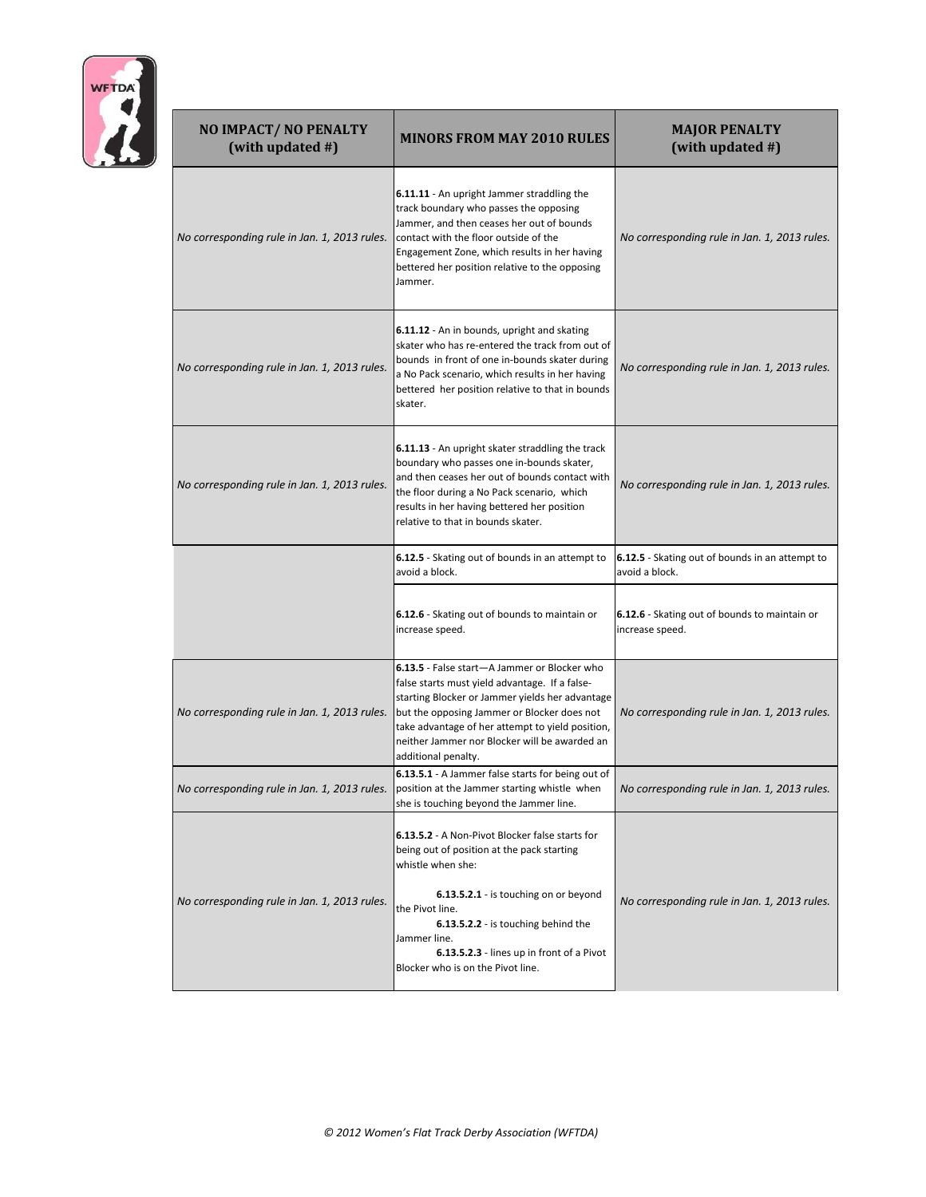

| NO IMPACT/NO PENALTY<br>(with updated #)     | <b>MINORS FROM MAY 2010 RULES</b>                                                                                                                                                                                                                                                                                            | <b>MAJOR PENALTY</b><br>(with updated #)                          |
|----------------------------------------------|------------------------------------------------------------------------------------------------------------------------------------------------------------------------------------------------------------------------------------------------------------------------------------------------------------------------------|-------------------------------------------------------------------|
| No corresponding rule in Jan. 1, 2013 rules. | 6.11.11 - An upright Jammer straddling the<br>track boundary who passes the opposing<br>Jammer, and then ceases her out of bounds<br>contact with the floor outside of the<br>Engagement Zone, which results in her having<br>bettered her position relative to the opposing<br>Jammer.                                      | No corresponding rule in Jan. 1, 2013 rules.                      |
| No corresponding rule in Jan. 1, 2013 rules. | 6.11.12 - An in bounds, upright and skating<br>skater who has re-entered the track from out of<br>bounds in front of one in-bounds skater during<br>a No Pack scenario, which results in her having<br>bettered her position relative to that in bounds<br>skater.                                                           | No corresponding rule in Jan. 1, 2013 rules.                      |
| No corresponding rule in Jan. 1, 2013 rules. | 6.11.13 - An upright skater straddling the track<br>boundary who passes one in-bounds skater,<br>and then ceases her out of bounds contact with<br>the floor during a No Pack scenario, which<br>results in her having bettered her position<br>relative to that in bounds skater.                                           | No corresponding rule in Jan. 1, 2013 rules.                      |
|                                              | 6.12.5 - Skating out of bounds in an attempt to<br>avoid a block.                                                                                                                                                                                                                                                            | 6.12.5 - Skating out of bounds in an attempt to<br>avoid a block. |
|                                              | 6.12.6 - Skating out of bounds to maintain or<br>increase speed.                                                                                                                                                                                                                                                             | 6.12.6 - Skating out of bounds to maintain or<br>increase speed.  |
| No corresponding rule in Jan. 1, 2013 rules. | 6.13.5 - False start-A Jammer or Blocker who<br>false starts must yield advantage. If a false-<br>starting Blocker or Jammer yields her advantage<br>but the opposing Jammer or Blocker does not<br>take advantage of her attempt to yield position,<br>neither Jammer nor Blocker will be awarded an<br>additional penalty. | No corresponding rule in Jan. 1, 2013 rules.                      |
| No corresponding rule in Jan. 1, 2013 rules. | 6.13.5.1 - A Jammer false starts for being out of<br>position at the Jammer starting whistle when<br>she is touching beyond the Jammer line.                                                                                                                                                                                 | No corresponaing ruie in Jan. 1, 2013 ruies.                      |
| No corresponding rule in Jan. 1, 2013 rules. | 6.13.5.2 - A Non-Pivot Blocker false starts for<br>being out of position at the pack starting<br>whistle when she:<br>6.13.5.2.1 - is touching on or beyond<br>the Pivot line.<br>6.13.5.2.2 - is touching behind the<br>Jammer line.<br>6.13.5.2.3 - lines up in front of a Pivot<br>Blocker who is on the Pivot line.      | No corresponding rule in Jan. 1, 2013 rules.                      |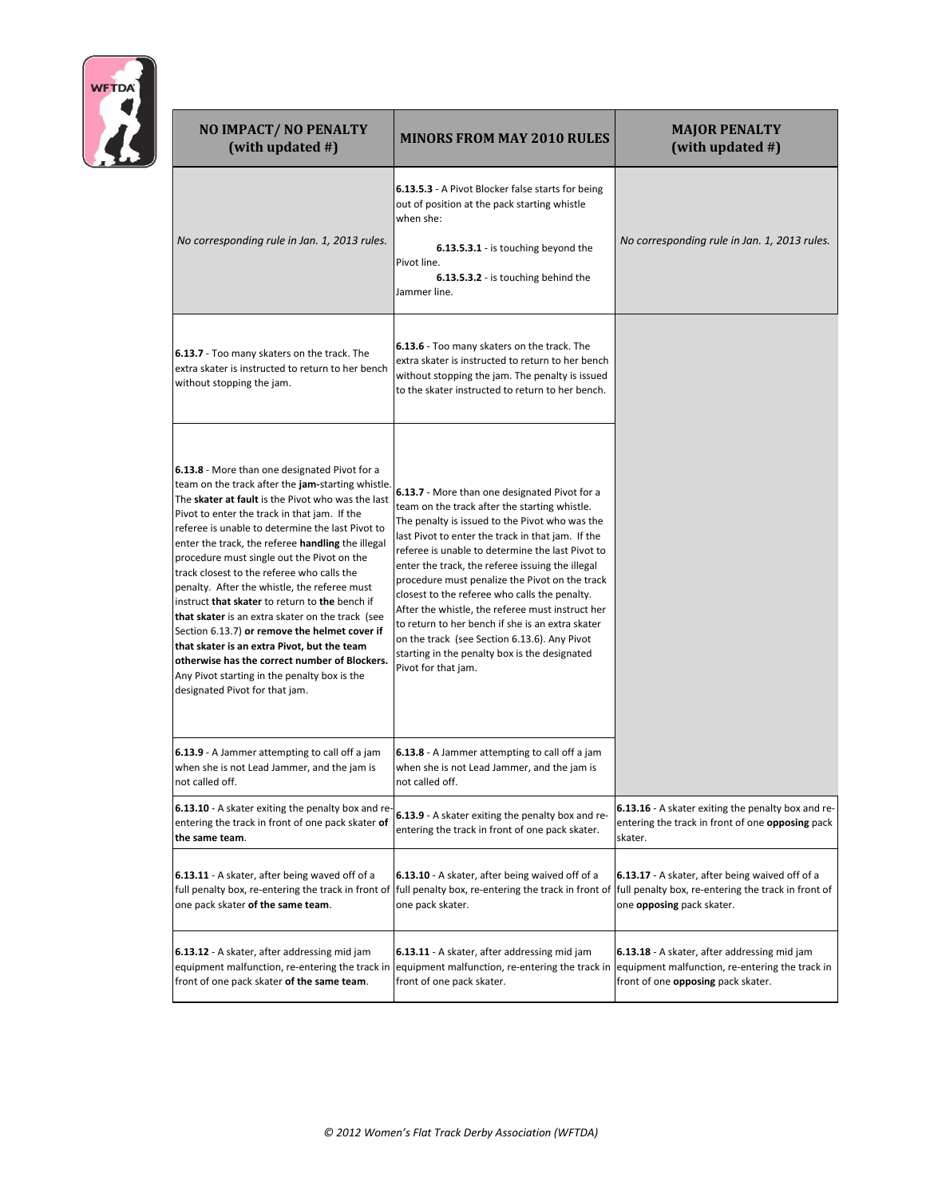

| <b>NO IMPACT/ NO PENALTY</b><br>(with updated #)                                                                                                                                                                                                                                                                                                                                                                                                                                                                                                                                                                                                                                                                                                                                                      | <b>MINORS FROM MAY 2010 RULES</b>                                                                                                                                                                                                                                                                                                                                                                                                                                                                                                                                                                                                                | <b>MAJOR PENALTY</b><br>(with updated #)                                                                                              |
|-------------------------------------------------------------------------------------------------------------------------------------------------------------------------------------------------------------------------------------------------------------------------------------------------------------------------------------------------------------------------------------------------------------------------------------------------------------------------------------------------------------------------------------------------------------------------------------------------------------------------------------------------------------------------------------------------------------------------------------------------------------------------------------------------------|--------------------------------------------------------------------------------------------------------------------------------------------------------------------------------------------------------------------------------------------------------------------------------------------------------------------------------------------------------------------------------------------------------------------------------------------------------------------------------------------------------------------------------------------------------------------------------------------------------------------------------------------------|---------------------------------------------------------------------------------------------------------------------------------------|
| No corresponding rule in Jan. 1, 2013 rules.                                                                                                                                                                                                                                                                                                                                                                                                                                                                                                                                                                                                                                                                                                                                                          | 6.13.5.3 - A Pivot Blocker false starts for being<br>out of position at the pack starting whistle<br>when she:<br>6.13.5.3.1 - is touching beyond the<br>Pivot line.<br>6.13.5.3.2 - is touching behind the<br>Jammer line.                                                                                                                                                                                                                                                                                                                                                                                                                      | No corresponding rule in Jan. 1, 2013 rules.                                                                                          |
| 6.13.7 - Too many skaters on the track. The<br>extra skater is instructed to return to her bench<br>without stopping the jam.                                                                                                                                                                                                                                                                                                                                                                                                                                                                                                                                                                                                                                                                         | 6.13.6 - Too many skaters on the track. The<br>extra skater is instructed to return to her bench<br>without stopping the jam. The penalty is issued<br>to the skater instructed to return to her bench.                                                                                                                                                                                                                                                                                                                                                                                                                                          |                                                                                                                                       |
| 6.13.8 - More than one designated Pivot for a<br>team on the track after the jam-starting whistle.<br>The skater at fault is the Pivot who was the last<br>Pivot to enter the track in that jam. If the<br>referee is unable to determine the last Pivot to<br>enter the track, the referee handling the illegal<br>procedure must single out the Pivot on the<br>track closest to the referee who calls the<br>penalty. After the whistle, the referee must<br>instruct that skater to return to the bench if<br>that skater is an extra skater on the track (see<br>Section 6.13.7) or remove the helmet cover if<br>that skater is an extra Pivot, but the team<br>otherwise has the correct number of Blockers.<br>Any Pivot starting in the penalty box is the<br>designated Pivot for that jam. | 6.13.7 - More than one designated Pivot for a<br>team on the track after the starting whistle.<br>The penalty is issued to the Pivot who was the<br>last Pivot to enter the track in that jam. If the<br>referee is unable to determine the last Pivot to<br>enter the track, the referee issuing the illegal<br>procedure must penalize the Pivot on the track<br>closest to the referee who calls the penalty.<br>After the whistle, the referee must instruct her<br>to return to her bench if she is an extra skater<br>on the track (see Section 6.13.6). Any Pivot<br>starting in the penalty box is the designated<br>Pivot for that jam. |                                                                                                                                       |
| 6.13.9 - A Jammer attempting to call off a jam<br>when she is not Lead Jammer, and the jam is<br>not called off.                                                                                                                                                                                                                                                                                                                                                                                                                                                                                                                                                                                                                                                                                      | 6.13.8 - A Jammer attempting to call off a jam<br>when she is not Lead Jammer, and the jam is<br>not called off.                                                                                                                                                                                                                                                                                                                                                                                                                                                                                                                                 |                                                                                                                                       |
| 6.13.10 - A skater exiting the penalty box and re-<br>entering the track in front of one pack skater of<br>the same team.                                                                                                                                                                                                                                                                                                                                                                                                                                                                                                                                                                                                                                                                             | 6.13.9 - A skater exiting the penalty box and re-<br>entering the track in front of one pack skater.                                                                                                                                                                                                                                                                                                                                                                                                                                                                                                                                             | 6.13.16 - A skater exiting the penalty box and re-<br>entering the track in front of one opposing pack<br>skater.                     |
| 6.13.11 - A skater, after being waved off of a<br>one pack skater of the same team.                                                                                                                                                                                                                                                                                                                                                                                                                                                                                                                                                                                                                                                                                                                   | 6.13.10 - A skater, after being waived off of a<br>full penalty box, re-entering the track in front of  full penalty box, re-entering the track in front of  full penalty box, re-entering the track in front of<br>one pack skater.                                                                                                                                                                                                                                                                                                                                                                                                             | 6.13.17 - A skater, after being waived off of a<br>one <b>opposing</b> pack skater.                                                   |
| 6.13.12 - A skater, after addressing mid jam<br>equipment malfunction, re-entering the track in<br>front of one pack skater of the same team.                                                                                                                                                                                                                                                                                                                                                                                                                                                                                                                                                                                                                                                         | 6.13.11 - A skater, after addressing mid jam<br>equipment malfunction, re-entering the track in<br>front of one pack skater.                                                                                                                                                                                                                                                                                                                                                                                                                                                                                                                     | 6.13.18 - A skater, after addressing mid jam<br>equipment malfunction, re-entering the track in<br>front of one opposing pack skater. |